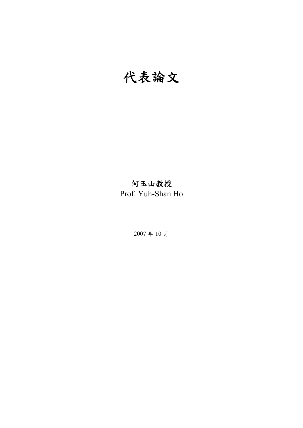# 代表論文

# 何玉山教授

Prof. Yuh-Shan Ho

2007 年 10 月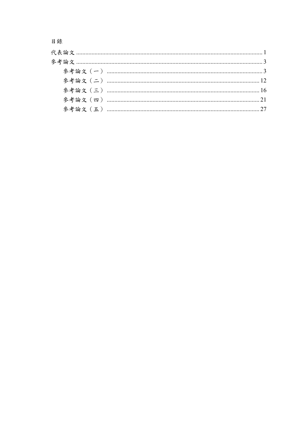目錄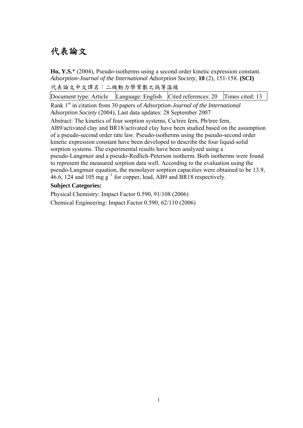# 代表論文

**Ho, Y.S.**\* (2004), Pseudo-isotherms using a second order kinetic expression constant. *Adsorption-Journal of the International Adsorption Society*, **10** (2), 151-158. **(SCI)**  代表論文中文譯名:二級動力學常數之僞等溫線

Document type: Article Language: English Cited references: 20 Times cited: 13 Rank 1st in citation from 30 papers of *Adsorption-Journal of the International Adsorption Society* (2004), Last data updates: 28 September 2007

Abstract: The kinetics of four sorption systems, Cu/tree fern, Pb/tree fern, AB9/activated clay and BR18/activated clay have been studied based on the assumption of a pseudo-second order rate law. Pseudo-isotherms using the pseudo-second order kinetic expression constant have been developed to describe the four liquid-solid sorption systems. The experimental results have been analyzed using a pseudo-Langmuir and a pseudo-Redlich-Peterson isotherm. Both isotherms were found to represent the measured sorption data well. According to the evaluation using the pseudo-Langmuir equation, the monolayer sorption capacities were obtained to be 13.9,  $46.6$ , 124 and 105 mg g<sup>-1</sup> for copper, lead, AB9 and BR18 respectively.

### **Subject Categories:**

Physical Chemistry: Impact Factor 0.590, 91/108 (2006)

Chemical Engineering: Impact Factor 0.590, 62/110 (2006)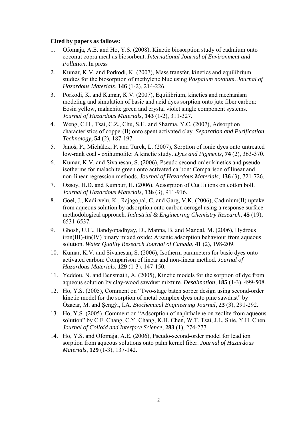- 1. Ofomaja, A.E. and Ho, Y.S. (2008), Kinetic biosorption study of cadmium onto coconut copra meal as biosorbent. *International Journal of Environment and Pollution*. In press
- 2. Kumar, K.V. and Porkodi, K. (2007), Mass transfer, kinetics and equilibrium studies for the biosorption of methylene blue using *Paspalum notatum*. *Journal of Hazardous Materials*, **146** (1-2), 214-226.
- 3. Porkodi, K. and Kumar, K.V. (2007), Equilibrium, kinetics and mechanism modeling and simulation of basic and acid dyes sorption onto jute fiber carbon: Eosin yellow, malachite green and crystal violet single component systems. *Journal of Hazardous Materials*, **143** (1-2), 311-327.
- 4. Weng, C.H., Tsai, C.Z., Chu, S.H. and Sharma, Y.C. (2007), Adsorption characteristics of copper(II) onto spent activated clay. *Separation and Purification Technology*, **54** (2), 187-197.
- 5. Janoš, P., Michálek, P. and Turek, L. (2007), Sorption of ionic dyes onto untreated low-rank coal - oxihumolite: A kinetic study. *Dyes and Pigments*, **74** (2), 363-370.
- 6. Kumar, K.V. and Sivanesan, S. (2006), Pseudo second order kinetics and pseudo isotherms for malachite green onto activated carbon: Comparison of linear and non-linear regression methods. *Journal of Hazardous Materials*, **136** (3), 721-726.
- 7. Ozsoy, H.D. and Kumbur, H. (2006), Adsorption of Cu(II) ions on cotton boll. *Journal of Hazardous Materials*, **136** (3), 911-916.
- 8. Goel, J., Kadirvelu, K., Rajagopal, C. and Garg, V.K. (2006), Cadmium(II) uptake from aqueous solution by adsorption onto carbon aerogel using a response surface methodological approach. *Industrial & Engineering Chemistry Research*, **45** (19), 6531-6537.
- 9. Ghosh, U.C., Bandyopadhyay, D., Manna, B. and Mandal, M. (2006), Hydrous iron(III)-tin(IV) binary mixed oxide: Arsenic adsorption behaviour from aqueous solution. *Water Quality Research Journal of Canada*, **41** (2), 198-209.
- 10. Kumar, K.V. and Sivanesan, S. (2006), Isotherm parameters for basic dyes onto activated carbon: Comparison of linear and non-linear method. *Journal of Hazardous Materials*, **129** (1-3), 147-150.
- 11. Yeddou, N. and Bensmaili, A. (2005), Kinetic models for the sorption of dye from aqueous solution by clay-wood sawdust mixture. *Desalination*, **185** (1-3), 499-508.
- 12. Ho, Y.S. (2005), Comment on "Two-stage batch sorber design using second-order kinetic model for the sorption of metal complex dyes onto pine sawdust" by Özacar, M. and Şengýl, İ.A. *Biochemical Engineering Journal*, **23** (3), 291-292.
- 13. Ho, Y.S. (2005), Comment on "Adsorption of naphthalene on zeolite from aqueous solution" by C.F. Chang, C.Y. Chang, K.H. Chen, W.T. Tsai, J.L. Shie, Y.H. Chen. *Journal of Colloid and Interface Science*, **283** (1), 274-277.
- 14. Ho, Y.S. and Ofomaja, A.E. (2006), Pseudo-second-order model for lead ion sorption from aqueous solutions onto palm kernel fiber. *Journal of Hazardous Materials*, **129** (1-3), 137-142.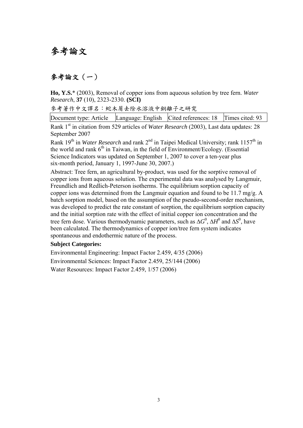# 參考論文

### 參考論文(一)

**Ho, Y.S.**\* (2003), Removal of copper ions from aqueous solution by tree fern. *Water Research*, **37** (10), 2323-2330. **(SCI)**

參考著作中文譯名:蛇木屑去除水溶液中銅離子之研究

| Document type: Article Language: English Cited references: 18 Times cited: 93 |  |  |
|-------------------------------------------------------------------------------|--|--|
|                                                                               |  |  |

Rank 1<sup>st</sup> in citation from 529 articles of *Water Research* (2003), Last data updates: 28 September 2007

Rank 19<sup>th</sup> in *Water Research* and rank 2<sup>nd</sup> in Taipei Medical University; rank 1157<sup>th</sup> in the world and rank  $6<sup>th</sup>$  in Taiwan, in the field of Environment/Ecology. (Essential Science Indicators was updated on September 1, 2007 to cover a ten-year plus six-month period, January 1, 1997-June 30, 2007.)

Abstract: Tree fern, an agricultural by-product, was used for the sorptive removal of copper ions from aqueous solution. The experimental data was analysed by Langmuir, Freundlich and Redlich-Peterson isotherms. The equilibrium sorption capacity of copper ions was determined from the Langmuir equation and found to be 11.7 mg/g. A batch sorption model, based on the assumption of the pseudo-second-order mechanism, was developed to predict the rate constant of sorption, the equilibrium sorption capacity and the initial sorption rate with the effect of initial copper ion concentration and the tree fern dose. Various thermodynamic parameters, such as  $\Delta G^0$ ,  $\Delta H^0$  and  $\Delta S^0$ , have been calculated. The thermodynamics of copper ion/tree fern system indicates spontaneous and endothermic nature of the process.

#### **Subject Categories:**

Environmental Engineering: Impact Factor 2.459, 4/35 (2006) Environmental Sciences: Impact Factor 2.459, 25/144 (2006) Water Resources: Impact Factor 2.459, 1/57 (2006)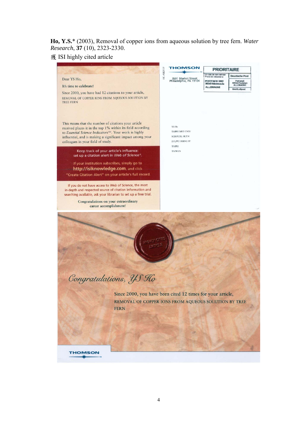**Ho, Y.S.**\* (2003), Removal of copper ions from aqueous solution by tree fern. *Water Research*, **37** (10), 2323-2330.

### 獲 ISI highly cited article

|                                                                                                                                                                                                                                                                                                | <b>HOMSON</b>                                                                         | <b>PRIORITAIRE</b>                                    |                                           |
|------------------------------------------------------------------------------------------------------------------------------------------------------------------------------------------------------------------------------------------------------------------------------------------------|---------------------------------------------------------------------------------------|-------------------------------------------------------|-------------------------------------------|
| Dear YS Ho,                                                                                                                                                                                                                                                                                    | HC-ABO11P<br>3501 Market Street<br>Philadelphia, PA 19104                             | En cas de non remis<br>Priere de retourner a          | <b>Deuctsche Post</b>                     |
| It's time to celebrate!                                                                                                                                                                                                                                                                        |                                                                                       | POSTFACH 2002<br>36243 Niederaula<br><b>ALLEMAGNE</b> | Port payé<br>60544 Frankfurt<br>ALLEMAGNE |
| Since 2000, you have had 12 citations to your article,<br>REMOVAL OF COPPER IONS FROM AQUEOUS SOLUTION BY<br><b>TREE FERN</b>                                                                                                                                                                  |                                                                                       |                                                       | <b>Brief/Luftpost</b>                     |
| This means that the number of citations your article<br>received places it in the top 1% within its field according<br>to Essential Science Indicators <sup>5M</sup> . Your work is highly<br>influential, and is making a significant impact among your<br>colleagues in your field of study. | YS Ho<br>TAIPEI MED UNIV<br><b>SCH PUBL HLTH</b><br>250, WU HSING ST<br><b>TAIPEI</b> |                                                       |                                           |
| Keep track of your article's influence:<br>set up a citation alert in Web of Science®.                                                                                                                                                                                                         | <b>TAIWAN</b>                                                                         |                                                       |                                           |
| If your institution subscribes, simply go to<br>http://isiknowledge.com, and click<br>"Create Citation Alert" on your article's full record.                                                                                                                                                   |                                                                                       |                                                       |                                           |
| If you do not have access to Web of Science, the most<br>in-depth and respected source of citation information and<br>searching available, ask your librarian to set up a free trial.<br>Congratulations on your extraordinary<br>career accomplishment!                                       |                                                                                       |                                                       |                                           |
| Congratulations, YS Ho<br>Since 2000, you have been cited 12 times for your article,<br>REMOVAL OF COPPER IONS FROM AQUEOUS SOLUTION BY TREE<br><b>FERN</b>                                                                                                                                    |                                                                                       |                                                       |                                           |
| <b>THOMSON</b>                                                                                                                                                                                                                                                                                 |                                                                                       |                                                       |                                           |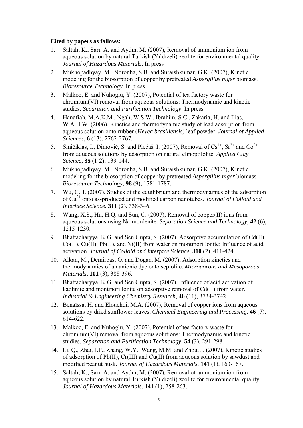- 1. Saltalı, K., Sarı, A. and Aydın, M. (2007), Removal of ammonium ion from aqueous solution by natural Turkish (Yıldızeli) zeolite for environmental quality. *Journal of Hazardous Materials*. In press
- 2. Mukhopadhyay, M., Noronha, S.B. and Suraishkumar, G.K. (2007), Kinetic modeling for the biosorption of copper by pretreated *Aspergillus niger* biomass. *Bioresource Technology*. In press
- 3. Malkoc, E. and Nuhoglu, Y. (2007), Potential of tea factory waste for chromium(VI) removal from aqueous solutions: Thermodynamic and kinetic studies. *Separation and Purification Technology*. In press
- 4. Hanafiah, M.A.K.M., Ngah, W.S.W., Ibrahim, S.C., Zakaria, H. and Ilias, W.A.H.W. (2006), Kinetics and thermodynamic study of lead adsorption from aqueous solution onto rubber (*Hevea brasiliensis*) leaf powder. *Journal of Applied Sciences*, **6** (13), 2762-2767.
- 5. Smičiklas, I., Dimović, S. and Plećaš, I. (2007), Removal of  $Cs^{1+}$ ,  $Sr^{2+}$  and  $Co^{2+}$ from aqueous solutions by adsorption on natural clinoptilolite. *Applied Clay Science*, **35** (1-2), 139-144.
- 6. Mukhopadhyay, M., Noronha, S.B. and Suraishkumar, G.K. (2007), Kinetic modeling for the biosorption of copper by pretreated *Aspergillus niger* biomass. *Bioresource Technology*, **98** (9), 1781-1787.
- 7. Wu, C.H. (2007), Studies of the equilibrium and thermodynamics of the adsorption of Cu2+ onto as-produced and modified carbon nanotubes. *Journal of Colloid and Interface Science*, **311** (2), 338-346.
- 8. Wang, X.S., Hu, H.Q. and Sun, C. (2007), Removal of copper(II) ions from aqueous solutions using Na-mordenite. *Separation Science and Technology*, **42** (6), 1215-1230.
- 9. Bhattacharyya, K.G. and Sen Gupta, S. (2007), Adsorptive accumulation of Cd(II), Co(II), Cu(II), Pb(II), and Ni(II) from water on montmorillonite: Influence of acid activation. *Journal of Colloid and Interface Science*, **310** (2), 411-424.
- 10. Alkan, M., Demirbas, O. and Dogan, M. (2007), Adsorption kinetics and thermodynamics of an anionic dye onto sepiolite. *Microporous and Mesoporous Materials*, **101** (3), 388-396.
- 11. Bhattacharyya, K.G. and Sen Gupta, S. (2007), Influence of acid activation of kaolinite and montmorillonite on adsorptive removal of Cd(II) from water. *Industrial & Engineering Chemistry Research*, **46** (11), 3734-3742.
- 12. Benaïssa, H. and Elouchdi, M.A. (2007), Removal of copper ions from aqueous solutions by dried sunflower leaves. *Chemical Engineering and Processing*, **46** (7), 614-622.
- 13. Malkoc, E. and Nuhoglu, Y. (2007), Potential of tea factory waste for chromium(VI) removal from aqueous solutions: Thermodynamic and kinetic studies. *Separation and Purification Technology*, **54** (3), 291-298.
- 14. Li, Q., Zhai, J.P., Zhang, W.Y., Wang, M.M. and Zhou, J. (2007), Kinetic studies of adsorption of Pb(II), Cr(III) and Cu(II) from aqueous solution by sawdust and modified peanut husk. *Journal of Hazardous Materials*, **141** (1), 163-167.
- 15. Saltalı, K., Sarı, A. and Aydın, M. (2007), Removal of ammonium ion from aqueous solution by natural Turkish (Yıldızeli) zeolite for environmental quality. *Journal of Hazardous Materials*, **141** (1), 258-263.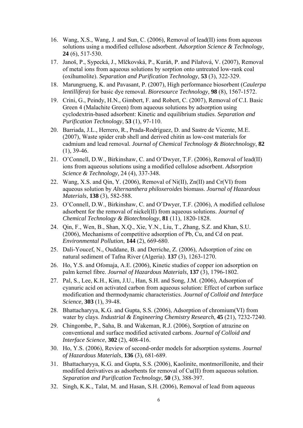- 16. Wang, X.S., Wang, J. and Sun, C. (2006), Removal of lead(II) ions from aqueous solutions using a modified cellulose adsorbent. *Adsorption Science & Technology*, **24** (6), 517-530.
- 17. Janoš, P., Sypecká, J., Mlčkovská, P., Kuráň, P. and Pilařová, V. (2007), Removal of metal ions from aqueous solutions by sorption onto untreated low-rank coal (oxihumolite). *Separation and Purification Technology*, **53** (3), 322-329.
- 18. Marungrueng, K. and Pavasant, P. (2007), High performance biosorbent (*Caulerpa lentillifera*) for basic dye removal. *Bioresource Technology*, **98** (8), 1567-1572.
- 19. Crini, G., Peindy, H.N., Gimbert, F. and Robert, C. (2007), Removal of C.I. Basic Green 4 (Malachite Green) from aqueous solutions by adsorption using cyclodextrin-based adsorbent: Kinetic and equilibrium studies. *Separation and Purification Technology*, **53** (1), 97-110.
- 20. Barriada, J.L., Herrero, R., Prada-Rodríguez, D. and Sastre de Vicente, M.E. (2007), Waste spider crab shell and derived chitin as low-cost materials for cadmium and lead removal. *Journal of Chemical Technology & Biotechnology*, **82**  $(1), 39-46.$
- 21. O'Connell, D.W., Birkinshaw, C. and O'Dwyer, T.F. (2006), Removal of lead(II) ions from aqueous solutions using a modified cellulose adsorbent. *Adsorption Science & Technology*, 24 (4), 337-348.
- 22. Wang, X.S. and Qin, Y. (2006), Removal of Ni(II),  $Zn(II)$  and  $Cr(VI)$  from aqueous solution by *Alternanthera philoxeroides* biomass. *Journal of Hazardous Materials*, **138** (3), 582-588.
- 23. O'Connell, D.W., Birkinshaw, C. and O'Dwyer, T.F. (2006), A modified cellulose adsorbent for the removal of nickel(II) from aqueous solutions. *Journal of Chemical Technology & Biotechnology*, **81** (11), 1820-1828.
- 24. Qin, F., Wen, B., Shan, X.Q., Xie, Y.N., Liu, T., Zhang, S.Z. and Khan, S.U. (2006), Mechanisms of competitive adsorption of Pb, Cu, and Cd on peat. *Environmental Pollution*, **144** (2), 669-680.
- 25. Dali-Youcef, N., Ouddane, B. and Derriche, Z. (2006), Adsorption of zinc on natural sediment of Tafna River (Algeria). **137** (3), 1263-1270.
- 26. Ho, Y.S. and Ofomaja, A.E. (2006), Kinetic studies of copper ion adsorption on palm kernel fibre. *Journal of Hazardous Materials*, **137** (3), 1796-1802.
- 27. Pal, S., Lee, K.H., Kim, J.U., Han, S.H. and Song, J.M. (2006), Adsorption of cyanuric acid on activated carbon from aqueous solution: Effect of carbon surface modification and thermodynamic characteristics. *Journal of Colloid and Interface Science*, **303** (1), 39-48.
- 28. Bhattacharyya, K.G. and Gupta, S.S. (2006), Adsorption of chromium(VI) from water by clays. *Industrial & Engineering Chemistry Research*, **45** (21), 7232-7240.
- 29. Chingombe, P., Saha, B. and Wakeman, R.J. (2006), Sorption of atrazine on conventional and surface modified activated carbons. *Journal of Colloid and Interface Science*, **302** (2), 408-416.
- 30. Ho, Y.S. (2006), Review of second-order models for adsorption systems. *Journal of Hazardous Materials*, **136** (3), 681-689.
- 31. Bhattacharyya, K.G. and Gupta, S.S. (2006), Kaolinite, montmorillonite, and their modified derivatives as adsorbents for removal of Cu(II) from aqueous solution. *Separation and Purification Technology*, **50** (3), 388-397.
- 32. Singh, K.K., Talat, M. and Hasan, S.H. (2006), Removal of lead from aqueous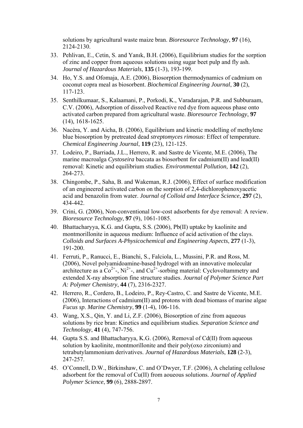solutions by agricultural waste maize bran. *Bioresource Technology*, **97** (16), 2124-2130.

- 33. Pehlivan, E., Cetin, S. and Yanık, B.H. (2006), Equilibrium studies for the sorption of zinc and copper from aqueous solutions using sugar beet pulp and fly ash. *Journal of Hazardous Materials*, **135** (1-3), 193-199.
- 34. Ho, Y.S. and Ofomaja, A.E. (2006), Biosorption thermodynamics of cadmium on coconut copra meal as biosorbent. *Biochemical Engineering Journal*, **30** (2), 117-123.
- 35. Senthilkumaar, S., Kalaamani, P., Porkodi, K., Varadarajan, P.R. and Subburaam, C.V. (2006), Adsorption of dissolved Reactive red dye from aqueous phase onto activated carbon prepared from agricultural waste. *Bioresource Technology*, **97** (14), 1618-1625.
- 36. Nacèra, Y. and Aicha, B. (2006), Equilibrium and kinetic modelling of methylene blue biosorption by pretreated dead *streptomyces rimosus*: Effect of temperature. *Chemical Engineering Journal*, **119** (23), 121-125.
- 37. Lodeiro, P., Barriada, J.L., Herrero, R. and Sastre de Vicente, M.E. (2006), The marine macroalga *Cystoseira* baccata as biosorbent for cadmium(II) and lead(II) removal: Kinetic and equilibrium studies. *Environmental Pollution*, **142** (2), 264-273.
- 38. Chingombe, P., Saha, B. and Wakeman, R.J. (2006), Effect of surface modification of an engineered activated carbon on the sorption of 2,4-dichlorophenoxyacetic acid and benazolin from water. *Journal of Colloid and Interface Science*, **297** (2), 434-442.
- 39. Crini, G. (2006), Non-conventional low-cost adsorbents for dye removal: A review. *Bioresource Technology*, **97** (9), 1061-1085.
- 40. Bhattacharyya, K.G. and Gupta, S.S. (2006), Pb(II) uptake by kaolinite and montmorillonite in aqueous medium: Influence of acid activation of the clays. *Colloids and Surfaces A-Physicochemical and Engineering Aspects*, **277** (1-3), 191-200.
- 41. Ferruti, P., Ranucci, E., Bianchi, S., Falciola, L., Mussini, P.R. and Ross, M. (2006), Novel polyamidoamine-based hydrogel with an innovative molecular architecture as a  $Co^{2+}$ ,  $Ni^{2+}$ , and  $Cu^{2+}$ -sorbing material: Cyclovoltammetry and extended X-ray absorption fine structure studies. *Journal of Polymer Science Part A: Polymer Chemistry*, **44** (7), 2316-2327.
- 42. Herrero, R., Cordero, B., Lodeiro, P., Rey-Castro, C. and Sastre de Vicente, M.E. (2006), Interactions of cadmium(II) and protons with dead biomass of marine algae *Fucus sp*. *Marine Chemistry*, **99** (1-4), 106-116.
- 43. Wang, X.S., Qin, Y. and Li, Z.F. (2006), Biosorption of zinc from aqueous solutions by rice bran: Kinetics and equilibrium studies. *Separation Science and Technology*, **41** (4), 747-756.
- 44. Gupta S.S. and Bhattacharyya, K.G. (2006), Removal of Cd(II) from aqueous solution by kaolinite, montmorillonite and their poly(oxo zirconium) and tetrabutylammonium derivatives. *Journal of Hazardous Materials*, **128** (2-3), 247-257.
- 45. O'Connell, D.W., Birkinshaw, C. and O'Dwyer, T.F. (2006), A chelating cellulose adsorbent for the removal of Cu(II) from aoueous solutions. *Journal of Applied Polymer Science*, **99** (6), 2888-2897.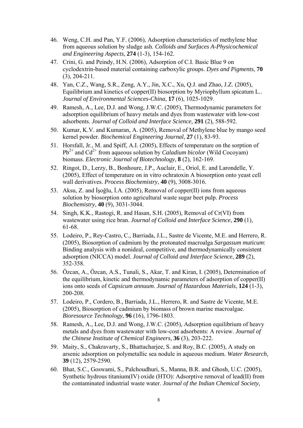- 46. Weng, C.H. and Pan, Y.F. (2006), Adsorption characteristics of methylene blue from aqueous solution by sludge ash. *Colloids and Surfaces A-Physicochemical and Engineering Aspects*, **274** (1-3), 154-162.
- 47. Crini, G. and Peindy, H.N. (2006), Adsorption of C.I. Basic Blue 9 on cyclodextrin-based material containing carboxylic groups. *Dyes and Pigments*, **70** (3), 204-211.
- 48. Yan, C.Z., Wang, S.R., Zeng, A.Y., Jin, X.C., Xu, Q.J. and Zhao, J.Z. (2005), Equilibrium and kinetics of copper(II) biosorption by Myriophyllum spicatum L.. *Journal of Environmental Sciences-China*, **17** (6), 1025-1029.
- 49. Ramesh, A., Lee, D.J. and Wong, J.W.C. (2005), Thermodynamic parameters for adsorption equilibrium of heavy metals and dyes from wastewater with low-cost adsorbents. *Journal of Colloid and Interface Science*, **291** (2), 588-592.
- 50. Kumar, K.V. and Kumaran, A. (2005), Removal of Methylene blue by mango seed kernel powder. *Biochemical Engineering Journal*, **27** (1), 83-93.
- 51. Horsfall, Jr., M. and Spiff, A.I. (2005), Effects of temperature on the sorption of  $Pb^{2+}$  and  $Cd^{2+}$  from aqueous solution by *Caladium bicolor* (Wild Cocoyam) biomass. *Electronic Journal of Biotechnology*, **8** (2), 162-169.
- 52. Ringot, D., Lerzy, B., Bonhoure, J.P., Auclair, E., Oriol, E. and Larondelle, Y. (2005), Effect of temperature on in vitro ochratoxin A biosorption onto yeast cell wall derivatives. *Process Biochemistry*, **40** (9), 3008-3016.
- 53. Aksu, Z. and İşoğlu, İ.A. (2005), Removal of copper(II) ions from aqueous solution by biosorption onto agricultural waste sugar beet pulp. *Process Biochemistry*, **40** (9), 3031-3044.
- 54. Singh, K.K., Rastogi, R. and Hasan, S.H. (2005), Removal of Cr(VI) from wastewater using rice bran. *Journal of Colloid and Interface Science*, **290** (1), 61-68.
- 55. Lodeiro, P., Rey-Castro, C., Barriada, J.L., Sastre de Vicente, M.E. and Herrero, R. (2005), Biosorption of cadmium by the protonated macroalga *Sargassum muticum*: Binding analysis with a nonideal, competitive, and thermodynamically consistent adsorption (NICCA) model. *Journal of Colloid and Interface Science*, **289** (2), 352-358.
- 56. Özcan, A., Özcan, A.S., Tunali, S., Akar, T. and Kiran, I. (2005), Determination of the equilibrium, kinetic and thermodynamic parameters of adsorption of copper(II) ions onto seeds of *Capsicum annuum*. *Journal of Hazardous Materials*, **124** (1-3), 200-208.
- 57. Lodeiro, P., Cordero, B., Barriada, J.L., Herrero, R. and Sastre de Vicente, M.E. (2005), Biosorption of cadmium by biomass of brown marine macroalgae. *Bioresource Technology*, **96** (16), 1796-1803.
- 58. Ramesh, A., Lee, D.J. and Wong, J.W.C. (2005), Adsorption equilibrium of heavy metals and dyes from wastewater with low-cost adsorbents: A review. *Journal of the Chinese Institute of Chemical Engineers*, **36** (3), 203-222.
- 59. Maity, S., Chakravarty, S., Bhattacharjee, S. and Roy, B.C. (2005), A study on arsenic adsorption on polymetallic sea nodule in aqueous medium. *Water Research*, **39** (12), 2579-2590.
- 60. Bhat, S.C., Goswami, S., Palchoudhuri, S., Manna, B.R. and Ghosh, U.C. (2005), Synthetic hydrous titanium(IV) oxide (HTO): Adsorptive removal of lead(II) from the contaminated industrial waste water. *Journal of the Indian Chemical Society*,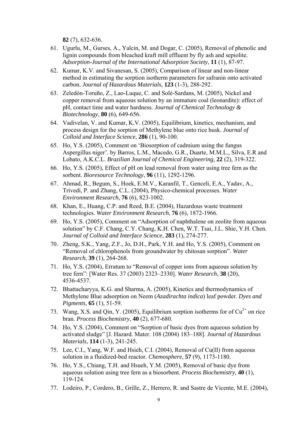**82** (7), 632-636.

- 61. Ugurlu, M., Gurses, A., Yalcin, M. and Dogar, C. (2005), Removal of phenolic and lignin compounds from bleached kraft mill effluent by fly ash and sepiolite. *Adsorption-Journal of the International Adsorption Society*, **11** (1), 87-97.
- 62. Kumar, K.V. and Sivanesan, S. (2005), Comparison of linear and non-linear method in estimating the sorption isotherm parameters for safranin onto activated carbon. *Journal of Hazardous Materials*, **123** (1-3), 288-292.
- 63. Zeledón-Toruño, Z., Lao-Luque, C. and Solé-Sardans, M. (2005), Nickel and copper removal from aqueous solution by an immature coal (leonardite): effect of pH, contact time and water hardness. *Journal of Chemical Technology & Biotechnology*, **80** (6), 649-656.
- 64. Vadivelan, V. and Kumar, K.V. (2005), Equilibrium, kinetics, mechanism, and process design for the sorption of Methylene blue onto rice husk. *Journal of Colloid and Interface Science*, **286** (1), 90-100.
- 65. Ho, Y.S. (2005), Comment on 'Biosorption of cadmium using the fungus Aspergillus niger'. by Barros, L.M., Macedo, G.R., Duarte, M.M.L., Silva, E.R and Lobato, A.K.C.L. *Brazilian Journal of Chemical Engineering*, **22** (2), 319-322.
- 66. Ho, Y.S. (2005), Effect of pH on lead removal from water using tree fern as the sorbent. *Bioresource Technology*, **96** (11), 1292-1296.
- 67. Ahmad, R., Begum, S., Hoek, E.M.V., Karanfil, T., Genceli, E.A., Yadav, A., Trivedi, P. and Zhang, C.L. (2004), Physico-chemical processes. *Water Environment Research*, **76** (6), 823-1002.
- 68. Khan, E., Huang, C.P. and Reed, B.E. (2004), Hazardous waste treatment technologies. *Water Environment Research*, **76** (6), 1872-1966.
- 69. Ho, Y.S. (2005), Comment on "Adsorption of naphthalene on zeolite from aqueous solution" by C.F. Chang, C.Y. Chang, K.H. Chen, W.T. Tsai, J.L. Shie, Y.H. Chen. *Journal of Colloid and Interface Science*, **283** (1), 274-277.
- 70. Zheng, S.K., Yang, Z.F., Jo, D.H., Park, Y.H. and Ho, Y.S. (2005), Comment on "Removal of chlorophenols from groundwater by chitosan sorption". *Water Research*, **39** (1), 264-268.
- 71. Ho, Y.S. (2004), Erratum to "Removal of copper ions from aqueous solution by tree fern": [Water Res. 37 (2003) 2323–2330]. *Water Research*, **38** (20), 4536-4537.
- 72. Bhattacharyya, K.G. and Sharma, A. (2005), Kinetics and thermodynamics of Methylene Blue adsorption on Neem (*Azadirachta indica*) leaf powder. *Dyes and Pigments*, **65** (1), 51-59.
- 73. Wang, X.S. and Qin, Y. (2005), Equilibrium sorption isotherms for of  $Cu^{2+}$  on rice bran. *Process Biochemistry*, **40** (2), 677-680.
- 74. Ho, Y.S. (2004), Comment on "Sorption of basic dyes from aqueous solution by activated sludge" [J. Hazard. Mater. 108 (2004) 183–188]. *Journal of Hazardous Materials*, **114** (1-3), 241-245.
- 75. Lee, C.I., Yang, W.F. and Hsieh, C.I. (2004), Removal of Cu(II) from aqueous solution in a fluidized-bed reactor. *Chemosphere*, **57** (9), 1173-1180.
- 76. Ho, Y.S., Chiang, T.H. and Hsueh, Y.M. (2005), Removal of basic dye from aqueous solution using tree fern as a biosorbent. *Process Biochemistry*, **40** (1), 119-124.
- 77. Lodeiro, P., Cordero, B., Grille, Z., Herrero, R. and Sastre de Vicente, M.E. (2004),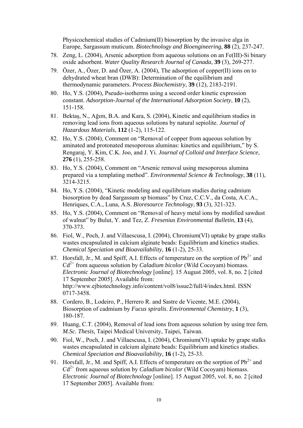Physicochemical studies of Cadmium(II) biosorption by the invasive alga in Europe, Sargassum muticum. *Biotechnology and Bioengineering*, **88** (2), 237-247.

- 78. Zeng, L. (2004), Arsenic adsorption from aqueous solutions on an Fe(III)-Si binary oxide adsorbent. *Water Quality Research Journal of Canada*, **39** (3), 269-277.
- 79. Özer, A., Özer, D. and Özer, A. (2004), The adsorption of copper(II) ions on to dehydrated wheat bran (DWB): Determination of the equilibrium and thermodynamic parameters. *Process Biochemistry*, **39** (12), 2183-2191.
- 80. Ho, Y.S. (2004), Pseudo-isotherms using a second order kinetic expression constant. *Adsorption-Journal of the International Adsorption Society*, **10** (2), 151-158.
- 81. Bektaş, N., Ağım, B.A. and Kara, S. (2004), Kinetic and equilibrium studies in removing lead ions from aqueous solutions by natural sepiolite. *Journal of Hazardous Materials*, **112** (1-2), 115-122.
- 82. Ho, Y.S. (2004), Comment on "Removal of copper from aqueous solution by aminated and protonated mesoporous aluminas: kinetics and equilibrium," by S. Rengaraj, Y. Kim, C.K. Joo, and J. Yi. *Journal of Colloid and Interface Science*, **276** (1), 255-258.
- 83. Ho, Y.S. (2004), Comment on "Arsenic removal using mesoporous alumina prepared via a templating method". *Environmental Science & Technology*, **38** (11), 3214-3215.
- 84. Ho, Y.S. (2004), "Kinetic modeling and equilibrium studies during cadmium biosorption by dead Sargassum sp biomass" by Cruz, C.C.V., da Costa, A.C.A., Henriques, C.A., Luna, A.S. *Bioresource Technology*, **93** (3), 321-323.
- 85. Ho, Y.S. (2004), Comment on "Removal of heavy metal ions by modified sawdust of walnut" by Bulut, Y. and Tez, Z. *Fresenius Environmental Bulletin*, **13** (4), 370-373.
- 86. Fiol, W., Poch, J. and Villaescusa, I. (2004), Chromium(VI) uptake by grape stalks wastes encapsulated in calcium alginate beads: Equilibrium and kinetics studies. *Chemical Speciation and Bioavailability*, **16** (1-2), 25-33.
- 87. Horsfall, Jr., M. and Spiff, A.I. Effects of temperature on the sorption of  $Pb^{2+}$  and Cd<sup>2+</sup> from aqueous solution by *Caladium bicolor* (Wild Cocoyam) biomass. *Electronic Journal of Biotechnology* [online]. 15 August 2005, vol. 8, no. 2 [cited 17 September 2005]. Available from: http://www.ejbiotechnology.info/content/vol8/issue2/full/4/index.html. ISSN 0717-3458.
- 88. Cordero, B., Lodeiro, P., Herrero R. and Sastre de Vicente, M.E. (2004), Biosorption of cadmium by *Fucus spiralis*. *Environmental Chemistry*, **1** (3), 180-187.
- 89. Huang, C.T. (2004), Removal of lead ions from aqueous solution by using tree fern. *M.Sc. Thesis*, Taipei Medical University, Taipei, Taiwan.
- 90. Fiol, W., Poch, J. and Villaescusa, I. (2004), Chromium(VI) uptake by grape stalks wastes encapsulated in calcium alginate beads: Equilibrium and kinetics studies. *Chemical Speciation and Bioavailability*, **16** (1-2), 25-33.
- 91. Horsfall, Jr., M. and Spiff, A.I. Effects of temperature on the sorption of  $Pb^{2+}$  and Cd<sup>2+</sup> from aqueous solution by *Caladium bicolor* (Wild Cocoyam) biomass. *Electronic Journal of Biotechnology* [online]. 15 August 2005, vol. 8, no. 2 [cited 17 September 2005]. Available from: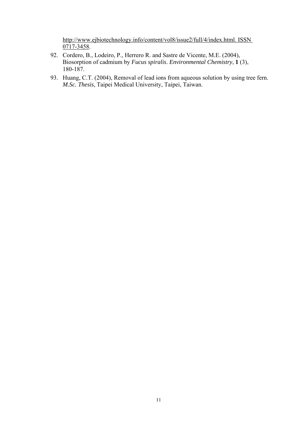http://www.ejbiotechnology.info/content/vol8/issue2/full/4/index.html. ISSN 0717-3458.

- 92. Cordero, B., Lodeiro, P., Herrero R. and Sastre de Vicente, M.E. (2004), Biosorption of cadmium by *Fucus spiralis*. *Environmental Chemistry*, **1** (3), 180-187.
- 93. Huang, C.T. (2004), Removal of lead ions from aqueous solution by using tree fern. *M.Sc. Thesis*, Taipei Medical University, Taipei, Taiwan.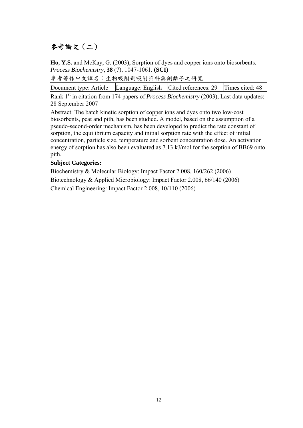### 參考論文(二)

**Ho, Y.S.** and McKay, G. (2003), Sorption of dyes and copper ions onto biosorbents. *Process Biochemistry*, **38** (7), 1047-1061. **(SCI)** 

參考著作中文譯名:生物吸附劑吸附染料與銅離子之研究

Document type: Article Language: English Cited references: 29 Times cited: 48

Rank 1<sup>st</sup> in citation from 174 papers of *Process Biochemistry* (2003), Last data updates: 28 September 2007

Abstract: The batch kinetic sorption of copper ions and dyes onto two low-cost biosorbents, peat and pith, has been studied. A model, based on the assumption of a pseudo-second-order mechanism, has been developed to predict the rate constant of sorption, the equilibrium capacity and initial sorption rate with the effect of initial concentration, particle size, temperature and sorbent concentration dose. An activation energy of sorption has also been evaluated as 7.13 kJ/mol for the sorption of BB69 onto pith.

### **Subject Categories:**

Biochemistry & Molecular Biology: Impact Factor 2.008, 160/262 (2006) Biotechnology & Applied Microbiology: Impact Factor 2.008, 66/140 (2006) Chemical Engineering: Impact Factor 2.008, 10/110 (2006)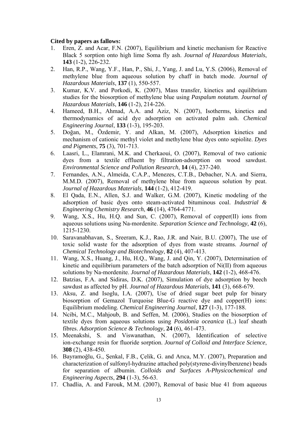- 1. Eren, Z. and Acar, F.N. (2007), Equilibrium and kinetic mechanism for Reactive Black 5 sorption onto high lime Soma fly ash. *Journal of Hazardous Materials*, **143** (1-2), 226-232.
- 2. Han, R.P., Wang, Y.F., Han, P., Shi, J., Yang, J. and Lu, Y.S. (2006), Removal of methylene blue from aqueous solution by chaff in batch mode. *Journal of Hazardous Materials*, **137** (1), 550-557.
- 3. Kumar, K.V. and Porkodi, K. (2007), Mass transfer, kinetics and equilibrium studies for the biosorption of methylene blue using *Paspalum notatum*. *Journal of Hazardous Materials*, **146** (1-2), 214-226.
- 4. Hameed, B.H., Ahmad, A.A. and Aziz, N. (2007), Isotherms, kinetics and thermodynamics of acid dye adsorption on activated palm ash. *Chemical Engineering Journal*, **133** (1-3), 195-203.
- 5. Doğan, M., Özdemir, Y. and Alkan, M. (2007), Adsorption kinetics and mechanism of cationic methyl violet and methylene blue dyes onto sepiolite. *Dyes and Pigments*, **75** (3), 701-713.
- 6. Laasri, L., Elamrani, M.K. and Cherkaoui, O. (2007), Removal of two cationic dyes from a textile effluent by filtration-adsorption on wood sawdust. *Environmental Science and Pollution Research*, **14** (4), 237-240.
- 7. Fernandes, A.N., Almeida, C.A.P., Menezes, C.T.B., Debacher, N.A. and Sierra, M.M.D. (2007), Removal of methylene blue from aqueous solution by peat. *Journal of Hazardous Materials*, **144** (1-2), 412-419.
- 8. El Qada, E.N., Allen, S.J. and Walker, G.M. (2007), Kinetic modeling of the adsorption of basic dyes onto steam-activated bituminous coal. *Industrial & Engineering Chemistry Research*, **46** (14), 4764-4771.
- 9. Wang, X.S., Hu, H.Q. and Sun, C. (2007), Removal of copper(II) ions from aqueous solutions using Na-mordenite. *Separation Science and Technology*, **42** (6), 1215-1230.
- 10. Saravanabhavan, S., Sreeram, K.J., Rao, J.R. and Nair, B.U. (2007), The use of toxic solid waste for the adsorption of dyes from waste streams. *Journal of Chemical Technology and Biotechnology*, **82** (4), 407-413.
- 11. Wang, X.S., Huang, J., Hu, H.Q., Wang, J. and Qin, Y. (2007), Determination of kinetic and equilibrium parameters of the batch adsorption of Ni(II) from aqueous solutions by Na-mordenite. *Journal of Hazardous Materials*, **142** (1-2), 468-476.
- 12. Batzias, F.A. and Sidiras, D.K. (2007), Simulation of dye adsorption by beech sawdust as affected by pH. *Journal of Hazardous Materials*, **141** (3), 668-679.
- 13. Aksu, Z. and Isoglu, I.A. (2007), Use of dried sugar beet pulp for binary biosorption of Gemazol Turquoise Blue-G reactive dye and copper(H) ions: Equilibrium modeling. *Chemical Engineering Journal*, **127** (1-3), 177-188.
- 14. Ncibi, M.C., Mahjoub, B. and Seffen, M. (2006), Studies on the biosorption of textile dyes from aqueous solutions using *Posidonia oceanica* (L.) leaf sheath fibres. *Adsorption Science & Technology*, **24** (6), 461-473.
- 15. Meenakshi, S. and Viswanathan, N. (2007), Identification of selective ion-exchange resin for fluoride sorption. *Journal of Colloid and Interface Science*, **308** (2), 438-450.
- 16. Bayramoğlu, G., Şenkal, F.B., Çelik, G. and Arıca, M.Y. (2007), Preparation and characterization of sulfonyl-hydrazine attached poly(styrene-divinylbenzene) beads for separation of albumin. *Colloids and Surfaces A-Physicochemical and Engineering Aspects*, **294** (1-3), 56-63.
- 17. Chadlia, A. and Farouk, M.M. (2007), Removal of basic blue 41 from aqueous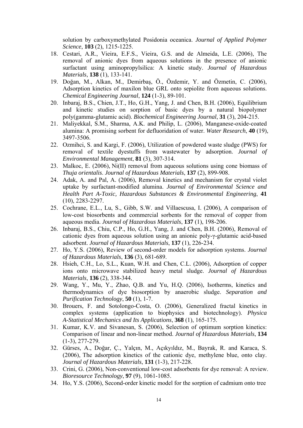solution by carboxymethylated Posidonia oceanica. *Journal of Applied Polymer Science*, **103** (2), 1215-1225.

- 18. Cestari, A.R., Vieira, E.F.S., Vieira, G.S. and de Almeida, L.E. (2006), The removal of anionic dyes from aqueous solutions in the presence of anionic surfactant using aminopropylsilica: A kinetic study. *Journal of Hazardous Materials*, **138** (1), 133-141.
- 19. Doğan, M., Alkan, M., Demirbaş, Ö., Özdemir, Y. and Özmetin, C. (2006), Adsorption kinetics of maxilon blue GRL onto sepiolite from aqueous solutions. *Chemical Engineering Journal*, **124** (1-3), 89-101.
- 20. Inbaraj, B.S., Chien, J.T., Ho, G.H., Yang, J. and Chen, B.H. (2006), Equilibrium and kinetic studies on sorption of basic dyes by a natural biopolymer poly(gamma-glutamic acid). *Biochemical Engineering Journal*, **31** (3), 204-215.
- 21. Maliyekkal, S.M., Sharma, A.K. and Philip, L. (2006), Manganese-oxide-coated alumina: A promising sorbent for defluoridation of water. *Water Research*, **40** (19), 3497-3506.
- 22. Ozmihci, S. and Kargi, F. (2006), Utilization of powdered waste sludge (PWS) for removal of textile dyestuffs from wastewater by adsorption. *Journal of Environmental Management*, **81** (3), 307-314.
- 23. Malkoc, E. (2006), Ni(II) removal from aqueous solutions using cone biomass of *Thuja orientalis*. *Journal of Hazardous Materials*, **137** (2), 899-908.
- 24. Adak, A. and Pal, A. (2006), Removal kinetics and mechanism for crystal violet uptake by surfactant-modified alumina. *Journal of Environmental Science and Health Part A-Toxic, Hazardous Substances & Environmental Engineering*, **41** (10), 2283-2297.
- 25. Cochrane, E.L., Lu, S., Gibb, S.W. and Villaescusa, I. (2006), A comparison of low-cost biosorbents and commercial sorbents for the removal of copper from aqueous media. *Journal of Hazardous Materials*, **137** (1), 198-206.
- 26. Inbaraj, B.S., Chiu, C.P., Ho, G.H., Yang, J. and Chen, B.H. (2006), Removal of cationic dyes from aqueous solution using an anionic poly-γ-glutamic acid-based adsorbent. *Journal of Hazardous Materials*, **137** (1), 226-234.
- 27. Ho, Y.S. (2006), Review of second-order models for adsorption systems. *Journal of Hazardous Materials*, **136** (3), 681-689.
- 28. Hsieh, C.H., Lo, S.L., Kuan, W.H. and Chen, C.L. (2006), Adsorption of copper ions onto microwave stabilized heavy metal sludge. *Journal of Hazardous Materials*, **136** (2), 338-344.
- 29. Wang, Y., Mu, Y., Zhao, Q.B. and Yu, H.Q. (2006), Isotherms, kinetics and thermodynamics of dye biosorption by anaerobic sludge. *Separation and Purification Technology*, **50** (1), 1-7.
- 30. Brouers, F. and Sotolongo-Costa, O. (2006), Generalized fractal kinetics in complex systems (application to biophysics and biotechnology). *Physica A-Statistical Mechanics and Its Applications*, **368** (1), 165-175.
- 31. Kumar, K.V. and Sivanesan, S. (2006), Selection of optimum sorption kinetics: Comparison of linear and non-linear method. *Journal of Hazardous Materials*, **134** (1-3), 277-279.
- 32. Gürses, A., Doğar, Ç., Yalçın, M., Açıkyıldız, M., Bayrak, R. and Karaca, S. (2006), The adsorption kinetics of the cationic dye, methylene blue, onto clay. *Journal of Hazardous Materials*, **131** (1-3), 217-228.
- 33. Crini, G. (2006), Non-conventional low-cost adsorbents for dye removal: A review. *Bioresource Technology*, **97** (9), 1061-1085.
- 34. Ho, Y.S. (2006), Second-order kinetic model for the sorption of cadmium onto tree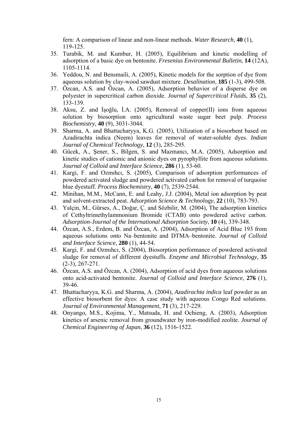fern: A comparison of linear and non-linear methods. *Water Research*, **40** (1), 119-125.

- 35. Turabik, M. and Kumbur, H. (2005), Equilibrium and kinetic modelling of adsorption of a basic dye on bentonite. *Fresenius Environmental Bulletin*, **14** (12A), 1105-1114.
- 36. Yeddou, N. and Bensmaili, A. (2005), Kinetic models for the sorption of dye from aqueous solution by clay-wood sawdust mixture. *Desalination*, **185** (1-3), 499-508.
- 37. Özcan, A.S. and Özcan, A. (2005), Adsorption behavior of a disperse dye on polyester in supercritical carbon dioxide. *Journal of Supercritical Fluids*, **35** (2), 133-139.
- 38. Aksu, Z. and İşoğlu, İ.A. (2005), Removal of copper(II) ions from aqueous solution by biosorption onto agricultural waste sugar beet pulp. *Process Biochemistry*, **40** (9), 3031-3044.
- 39. Sharma, A. and Bhattacharyya, K.G. (2005), Utilization of a biosorbent based on Azadirachta indica (Neem) leaves for removal of water-soluble dyes. *Indian Journal of Chemical Technology*, **12** (3), 285-295.
- 40. Gücek, A., Şener, S., Bilgen, S. and Mazmancı, M.A. (2005), Adsorption and kinetic studies of cationic and anionic dyes on pyrophyllite from aqueous solutions. *Journal of Colloid and Interface Science*, **286** (1), 53-60.
- 41. Kargi, F. and Ozmıhcı, S. (2005), Comparison of adsorption performances of powdered activated sludge and powdered activated carbon for removal of turquoise blue dyestuff. *Process Biochemistry*, **40** (7), 2539-2544.
- 42. Minihan, M.M., McCann, E. and Leahy, J.J. (2004), Metal ion adsorption by peat and solvent-extracted peat. *Adsorption Science & Technology*, **22** (10), 783-793.
- 43. Yalçin, M., Gürses, A., Doğar, Ç. and Sözbilir, M. (2004), The adsorption kinetics of Cethyltrimethylammonium Bromide (CTAB) onto powdered active carbon. *Adsorption-Journal of the International Adsorption Society*, **10** (4), 339-348.
- 44. Özcan, A.S., Erdem, B. and Özcan, A. (2004), Adsorption of Acid Blue 193 from aqueous solutions onto Na–bentonite and DTMA–bentonite. *Journal of Colloid and Interface Science*, **280** (1), 44-54.
- 45. Kargi, F. and Ozmıhcı, S. (2004), Biosorption performance of powdered activated sludge for removal of different dyestuffs. *Enzyme and Microbial Technology*, **35** (2-3), 267-271.
- 46. Özcan, A.S. and Özcan, A. (2004), Adsorption of acid dyes from aqueous solutions onto acid-activated bentonite. *Journal of Colloid and Interface Science*, **276** (1), 39-46.
- 47. Bhattacharyya, K.G. and Sharma, A. (2004), *Azadirachta indica* leaf powder as an effective biosorbent for dyes: A case study with aqueous Congo Red solutions. *Journal of Environmental Management*, **71** (3), 217-229.
- 48. Onyango, M.S., Kojima, Y., Matsuda, H. and Ochieng, A. (2003), Adsorption kinetics of arsenic removal from groundwater by iron-modified zeolite. *Journal of Chemical Engineering of Japan*, **36** (12), 1516-1522.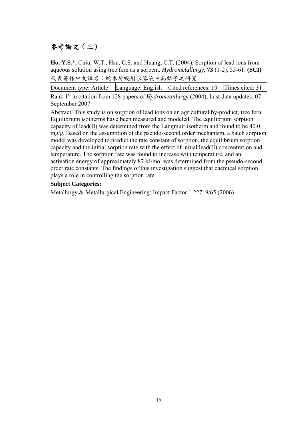### 參考論文(三)

**Ho, Y.S.**\*, Chiu, W.T., Hsu, C.S. and Huang, C.T. (2004), Sorption of lead ions from aqueous solution using tree fern as a sorbent. *Hydrometallurgy*, **73** (1-2), 55-61. **(SCI)** 代表著作中文譯名:蛇木屑吸附水溶液中鉛離子之研究

Document type: Article Language: English Cited references: 19 Times cited: 31

Rank 1<sup>st</sup> in citation from 128 papers of *Hydrometallurgy* (2004), Last data updates: 07 September 2007

Abstract: This study is on sorption of lead ions on an agricultural by-product, tree fern. Equilibrium isotherms have been measured and modeled. The equilibrium sorption capacity of lead(II) was determined from the Langmuir isotherm and found to be 40.0 mg/g. Based on the assumption of the pseudo-second order mechanism, a batch sorption model was developed to predict the rate constant of sorption, the equilibrium sorption capacity and the initial sorption rate with the effect of initial lead(II) concentration and temperature. The sorption rate was found to increase with temperature, and an activation energy of approximately 87 kJ/mol was determined from the pseudo-second order rate constants. The findings of this investigation suggest that chemical sorption plays a role in controlling the sorption rate.

### **Subject Categories:**

Metallurgy & Metallurgical Engineering: Impact Factor 1.227, 9/65 (2006)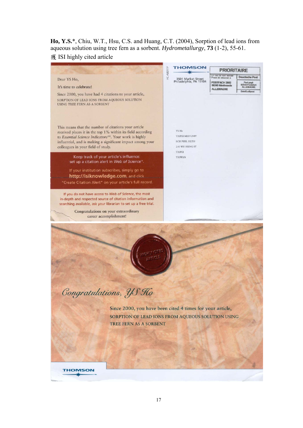**Ho, Y.S.**\*, Chiu, W.T., Hsu, C.S. and Huang, C.T. (2004), Sorption of lead ions from aqueous solution using tree fern as a sorbent. *Hydrometallurgy*, **73** (1-2), 55-61.

### 獲 ISI highly cited article

|                                                                                                                                                                                                                                                                                                                                           |           | <b>THOMSON</b>                                                                                        | <b>PRIORITAIRE</b>                           |                                           |
|-------------------------------------------------------------------------------------------------------------------------------------------------------------------------------------------------------------------------------------------------------------------------------------------------------------------------------------------|-----------|-------------------------------------------------------------------------------------------------------|----------------------------------------------|-------------------------------------------|
|                                                                                                                                                                                                                                                                                                                                           | HC-A8011P |                                                                                                       | En cas de non remise<br>Priere de retoumer a | <b>Deuctsche Post</b>                     |
| Dear YS Ho,                                                                                                                                                                                                                                                                                                                               |           | 3501 Market Street<br>Philadelphia, PA 19104                                                          | POSTFACH 2002                                | Port payé<br>60544 Frankfurt<br>ALLEMAGNE |
| It's time to celebrate!                                                                                                                                                                                                                                                                                                                   |           |                                                                                                       | 36243 Niederauta<br><b>ALLEMAGNE</b>         | Brief/Luftpost                            |
| Since 2000, you have had 4 citations to your article,                                                                                                                                                                                                                                                                                     |           |                                                                                                       |                                              |                                           |
| SORPTION OF LEAD IONS FROM AQUEOUS SOLUTION<br><b>USING TREE FERN AS A SORBENT</b>                                                                                                                                                                                                                                                        |           |                                                                                                       |                                              |                                           |
|                                                                                                                                                                                                                                                                                                                                           |           |                                                                                                       |                                              |                                           |
| This means that the number of citations your article<br>received places it in the top 1% within its field according<br>to Essential Science Indicators <sup>SM</sup> . Your work is highly<br>influential, and is making a significant impact among your<br>colleagues in your field of study.<br>Keep track of your article's influence: |           | YS Ho<br><b>TAIPEI MED UNIV</b><br><b>SCH PUBL HLTH</b><br>250 WU HSING ST<br><b>TAIPEI</b><br>TAIWAN |                                              |                                           |
| set up a citation alert in Web of Science®.                                                                                                                                                                                                                                                                                               |           |                                                                                                       |                                              |                                           |
| If your institution subscribes, simply go to<br>http://isiknowledge.com, and click<br>"Create Citation Alert" on your article's full record.                                                                                                                                                                                              |           |                                                                                                       |                                              |                                           |
| If you do not have access to Web of Science, the most<br>in-depth and respected source of citation information and<br>searching available, ask your librarian to set up a free trial.                                                                                                                                                     |           |                                                                                                       |                                              |                                           |
| Congratulations on your extraordinary                                                                                                                                                                                                                                                                                                     |           |                                                                                                       |                                              |                                           |
| career accomplishment!                                                                                                                                                                                                                                                                                                                    |           |                                                                                                       |                                              |                                           |
| Congratulations, US Ho<br>Since 2000, you have been cited 4 times for your article,<br>SORPTION OF LEAD IONS FROM AQUEOUS SOLUTION USING<br><b>TREE FERN AS A SORBENT</b>                                                                                                                                                                 |           |                                                                                                       |                                              |                                           |
| THOMSON                                                                                                                                                                                                                                                                                                                                   |           |                                                                                                       |                                              |                                           |
|                                                                                                                                                                                                                                                                                                                                           |           |                                                                                                       |                                              |                                           |
|                                                                                                                                                                                                                                                                                                                                           |           |                                                                                                       |                                              |                                           |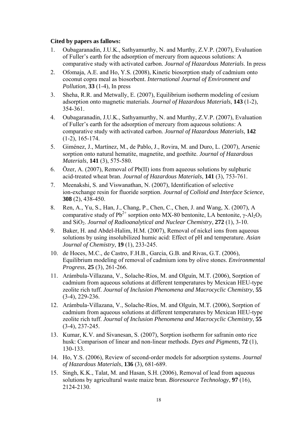- 1. Oubagaranadin, J.U.K., Sathyamurthy, N. and Murthy, Z.V.P. (2007), Evaluation of Fuller's earth for the adsorption of mercury from aqueous solutions: A comparative study with activated carbon. *Journal of Hazardous Materials*. In press
- 2. Ofomaja, A.E. and Ho, Y.S. (2008), Kinetic biosorption study of cadmium onto coconut copra meal as biosorbent. *International Journal of Environment and Pollution*, **33** (1-4), In press
- 3. Sheha, R.R. and Metwally, E. (2007), Equilibrium isotherm modeling of cesium adsorption onto magnetic materials. *Journal of Hazardous Materials*, **143** (1-2), 354-361.
- 4. Oubagaranadin, J.U.K., Sathyamurthy, N. and Murthy, Z.V.P. (2007), Evaluation of Fuller's earth for the adsorption of mercury from aqueous solutions: A comparative study with activated carbon. *Journal of Hazardous Materials*, **142** (1-2), 165-174.
- 5. Giménez, J., Martínez, M., de Pablo, J., Rovira, M. and Duro, L. (2007), Arsenic sorption onto natural hematite, magnetite, and goethite. *Journal of Hazardous Materials*, **141** (3), 575-580.
- 6. Özer, A. (2007), Removal of Pb(II) ions from aqueous solutions by sulphuric acid-treated wheat bran. *Journal of Hazardous Materials*, **141** (3), 753-761.
- 7. Meenakshi, S. and Viswanathan, N. (2007), Identification of selective ion-exchange resin for fluoride sorption. *Journal of Colloid and Interface Science*, **308** (2), 438-450.
- 8. Ren, A., Yu, S., Han, J., Chang, P., Chen, C., Chen, J. and Wang, X. (2007), A comparative study of Pb<sup>2+</sup> sorption onto MX-80 bentonite, LA bentonite,  $\gamma$ -Al<sub>2</sub>O<sub>3</sub> and SiO2. *Journal of Radioanalytical and Nuclear Chemistry*, **272** (1), 3-10.
- 9. Baker, H. and Abdel-Halim, H.M. (2007), Removal of nickel ions from aqueous solutions by using insolubilized humic acid: Effect of pH and temperature. *Asian Journal of Chemistry*, **19** (1), 233-245.
- 10. de Hoces, M.C., de Castro, F.H.B., Garcia, G.B. and Rivas, G.T. (2006), Equilibrium modeling of removal of cadmium ions by olive stones. *Environmental Progress*, **25** (3), 261-266.
- 11. Arámbula-Villazana, V., Solache-Ríos, M. and Olguín, M.T. (2006), Sorption of cadmium from aqueous solutions at different temperatures by Mexican HEU-type zeolite rich tuff. *Journal of Inclusion Phenomena and Macrocyclic Chemistry*, **55** (3-4), 229-236.
- 12. Arámbula-Villazana, V., Solache-Ríos, M. and Olguín, M.T. (2006), Sorption of cadmium from aqueous solutions at different temperatures by Mexican HEU-type zeolite rich tuff. *Journal of Inclusion Phenomena and Macrocyclic Chemistry*, **55** (3-4), 237-245.
- 13. Kumar, K.V. and Sivanesan, S. (2007), Sorption isotherm for safranin onto rice husk: Comparison of linear and non-linear methods. *Dyes and Pigments*, **72** (1), 130-133.
- 14. Ho, Y.S. (2006), Review of second-order models for adsorption systems. *Journal of Hazardous Materials*, **136** (3), 681-689.
- 15. Singh, K.K., Talat, M. and Hasan, S.H. (2006), Removal of lead from aqueous solutions by agricultural waste maize bran. *Bioresource Technology*, **97** (16), 2124-2130.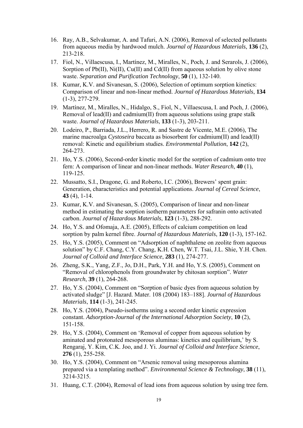- 16. Ray, A.B., Selvakumar, A. and Tafuri, A.N. (2006), Removal of selected pollutants from aqueous media by hardwood mulch. *Journal of Hazardous Materials*, **136** (2), 213-218.
- 17. Fiol, N., Villaescusa, I., Martínez, M., Miralles, N., Poch, J. and Serarols, J. (2006), Sorption of Pb(II), Ni(II), Cu(II) and Cd(II) from aqueous solution by olive stone waste. *Separation and Purification Technology*, **50** (1), 132-140.
- 18. Kumar, K.V. and Sivanesan, S. (2006), Selection of optimum sorption kinetics: Comparison of linear and non-linear method. *Journal of Hazardous Materials*, **134** (1-3), 277-279.
- 19. Martínez, M., Miralles, N., Hidalgo, S., Fiol, N., Villaescusa, I. and Poch, J. (2006), Removal of lead(II) and cadmium(II) from aqueous solutions using grape stalk waste. *Journal of Hazardous Materials*, **133** (1-3), 203-211.
- 20. Lodeiro, P., Barriada, J.L., Herrero, R. and Sastre de Vicente, M.E. (2006), The marine macroalga *Cystoseira* baccata as biosorbent for cadmium(II) and lead(II) removal: Kinetic and equilibrium studies. *Environmental Pollution*, **142** (2), 264-273.
- 21. Ho, Y.S. (2006), Second-order kinetic model for the sorption of cadmium onto tree fern: A comparison of linear and non-linear methods. *Water Research*, **40** (1), 119-125.
- 22. Mussatto, S.I., Dragone, G. and Roberto, I.C. (2006), Brewers' spent grain: Generation, characteristics and potential applications. *Journal of Cereal Science*, **43** (4), 1-14.
- 23. Kumar, K.V. and Sivanesan, S. (2005), Comparison of linear and non-linear method in estimating the sorption isotherm parameters for safranin onto activated carbon. *Journal of Hazardous Materials*, **123** (1-3), 288-292.
- 24. Ho, Y.S. and Ofomaja, A.E. (2005), Effects of calcium competition on lead sorption by palm kernel fibre. *Journal of Hazardous Materials*, **120** (1-3), 157-162.
- 25. Ho, Y.S. (2005), Comment on "Adsorption of naphthalene on zeolite from aqueous solution" by C.F. Chang, C.Y. Chang, K.H. Chen, W.T. Tsai, J.L. Shie, Y.H. Chen. *Journal of Colloid and Interface Science*, **283** (1), 274-277.
- 26. Zheng, S.K., Yang, Z.F., Jo, D.H., Park, Y.H. and Ho, Y.S. (2005), Comment on "Removal of chlorophenols from groundwater by chitosan sorption". *Water Research*, **39** (1), 264-268.
- 27. Ho, Y.S. (2004), Comment on "Sorption of basic dyes from aqueous solution by activated sludge" [J. Hazard. Mater. 108 (2004) 183–188]. *Journal of Hazardous Materials*, **114** (1-3), 241-245.
- 28. Ho, Y.S. (2004), Pseudo-isotherms using a second order kinetic expression constant. *Adsorption-Journal of the International Adsorption Society*, **10** (2), 151-158.
- 29. Ho, Y.S. (2004), Comment on 'Removal of copper from aqueous solution by aminated and protonated mesoporous aluminas: kinetics and equilibrium,' by S. Rengaraj, Y. Kim, C.K. Joo, and J. Yi. *Journal of Colloid and Interface Science*, **276** (1), 255-258.
- 30. Ho, Y.S. (2004), Comment on "Arsenic removal using mesoporous alumina prepared via a templating method". *Environmental Science & Technology*, **38** (11), 3214-3215.
- 31. Huang, C.T. (2004), Removal of lead ions from aqueous solution by using tree fern.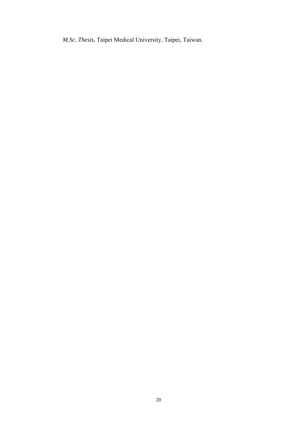*M.Sc. Thesis*, Taipei Medical University, Taipei, Taiwan.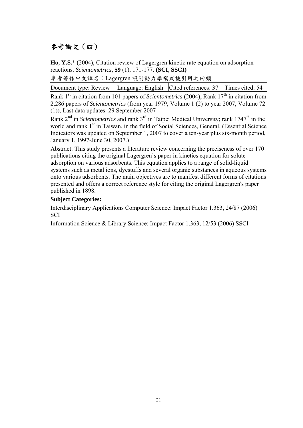### 參考論文(四)

**Ho, Y.S.**\* (2004), Citation review of Lagergren kinetic rate equation on adsorption reactions. *Scientometrics*, **59** (1), 171-177. **(SCI, SSCI)** 

參考著作中文譯名:Lagergren 吸附動力學模式被引用之回顧

Document type: Review Language: English Cited references: 37 Times cited: 54 Rank  $1<sup>st</sup>$  in citation from 101 papers of *Scientometrics* (2004), Rank  $17<sup>th</sup>$  in citation from 2,286 papers of *Scientometrics* (from year 1979, Volume 1 (2) to year 2007, Volume 72 (1)), Last data updates: 29 September 2007

Rank 2<sup>nd</sup> in *Scientometrics* and rank 3<sup>rd</sup> in Taipei Medical University; rank 1747<sup>th</sup> in the world and rank  $1<sup>st</sup>$  in Taiwan, in the field of Social Sciences, General. (Essential Science Indicators was updated on September 1, 2007 to cover a ten-year plus six-month period, January 1, 1997-June 30, 2007.)

Abstract: This study presents a literature review concerning the preciseness of over 170 publications citing the original Lagergren's paper in kinetics equation for solute adsorption on various adsorbents. This equation applies to a range of solid-liquid systems such as metal ions, dyestuffs and several organic substances in aqueous systems onto various adsorbents. The main objectives are to manifest different forms of citations presented and offers a correct reference style for citing the original Lagergren's paper published in 1898.

### **Subject Categories:**

Interdisciplinary Applications Computer Science: Impact Factor 1.363, 24/87 (2006) **SCI** 

Information Science & Library Science: Impact Factor 1.363, 12/53 (2006) SSCI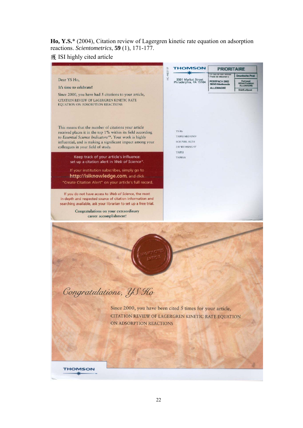**Ho, Y.S.**\* (2004), Citation review of Lagergren kinetic rate equation on adsorption reactions. *Scientometrics*, **59** (1), 171-177.

### 獲 ISI highly cited article

|                                                                                                                                                                                                                                                                                                                                    | <b>THOMSON</b><br><b>PRIORITAIRE</b>                                                                                                                                                                                                                                    |
|------------------------------------------------------------------------------------------------------------------------------------------------------------------------------------------------------------------------------------------------------------------------------------------------------------------------------------|-------------------------------------------------------------------------------------------------------------------------------------------------------------------------------------------------------------------------------------------------------------------------|
| Dear YS Ho,<br>It's time to celebrate!<br>Since 2000, you have had 5 citations to your article,<br>CITATION REVIEW OF LAGERGREN KINETIC RATE                                                                                                                                                                                       | HC-A8011P<br>En cas de non remise<br><b>Deuctsche Post</b><br>Pnere de refoumer a<br>3501 Market Street<br>Philadelphia, PA 19104<br>POSTFACH 2002<br>Port payé<br>50544 Frankfurt<br>36243 Niederaula<br><b>ALLEMAGNE</b><br><b>ALLEMAGNE</b><br><b>Brief/Luftpost</b> |
| EQUATION ON ADSORPTION REACTIONS<br>This means that the number of citations your article<br>received places it in the top 1% within its field according<br>to Essential Science Indicators <sup>5M</sup> . Your work is highly<br>influential, and is making a significant impact among your<br>colleagues in your field of study. | YS Ho<br><b>TAIPEI MED UNIV</b><br><b>SCH PUBL HLTH</b><br>250 WU HSING ST<br>TAIPEI                                                                                                                                                                                    |
| Keep track of your article's influence:<br>set up a citation alert in Web of Science®.<br>If your institution subscribes, simply go to<br>http://isiknowledge.com, and click                                                                                                                                                       | TAIWAN                                                                                                                                                                                                                                                                  |
| "Create Citation Alert" on your article's full record.<br>If you do not have access to Web of Science, the most<br>in-depth and respected source of citation information and<br>searching available, ask your librarian to set up a free trial.<br>Congratulations on your extraordinary<br>career accomplishment!                 |                                                                                                                                                                                                                                                                         |
|                                                                                                                                                                                                                                                                                                                                    |                                                                                                                                                                                                                                                                         |
| Congratulations, YS Ho                                                                                                                                                                                                                                                                                                             |                                                                                                                                                                                                                                                                         |
| ON ADSORPTION REACTIONS                                                                                                                                                                                                                                                                                                            | Since 2000, you have been cited 5 times for your article,<br>CITATION REVIEW OF LAGERGREN KINETIC RATE EQUATION                                                                                                                                                         |
|                                                                                                                                                                                                                                                                                                                                    |                                                                                                                                                                                                                                                                         |
| THOMSON                                                                                                                                                                                                                                                                                                                            |                                                                                                                                                                                                                                                                         |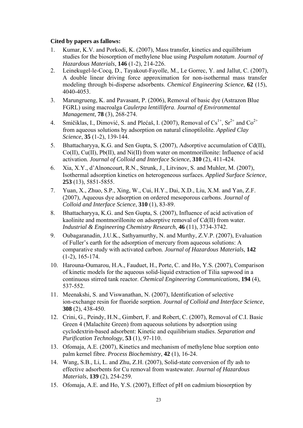- 1. Kumar, K.V. and Porkodi, K. (2007), Mass transfer, kinetics and equilibrium studies for the biosorption of methylene blue using *Paspalum notatum*. *Journal of Hazardous Materials*, **146** (1-2), 214-226.
- 2. Leinekugel-le-Cocq, D., Tayakout-Fayolle, M., Le Gorrec, Y. and Jallut, C. (2007), A double linear driving force approximation for non-isothermal mass transfer modeling through bi-disperse adsorbents. *Chemical Engineering Science*, **62** (15), 4040-4053.
- 3. Marungrueng, K. and Pavasant, P. (2006), Removal of basic dye (Astrazon Blue FGRL) using macroalga *Caulerpa lentillifera*. *Journal of Environmental Management*, **78** (3), 268-274.
- 4. Smičiklas, I., Dimović, S. and Plećaš, I. (2007), Removal of  $Cs^{1+}$ ,  $Sr^{2+}$  and  $Co^{2+}$ from aqueous solutions by adsorption on natural clinoptilolite. *Applied Clay Science*, **35** (1-2), 139-144.
- 5. Bhattacharyya, K.G. and Sen Gupta, S. (2007), Adsorptive accumulation of Cd(II), Co(II), Cu(II), Pb(II), and Ni(II) from water on montmorillonite: Influence of acid activation. *Journal of Colloid and Interface Science*, **310** (2), 411-424.
- 6. Xia, X.Y., d'Alnoncourt, R.N., Strunk, J., Litvinov, S. and Muhler, M. (2007), Isothermal adsorption kinetics on heterogeneous surfaces. *Applied Surface Science*, **253** (13), 5851-5855.
- 7. Yuan, X., Zhuo, S.P., Xing, W., Cui, H.Y., Dai, X.D., Liu, X.M. and Yan, Z.F. (2007), Aqueous dye adsorption on ordered mesoporous carbons. *Journal of Colloid and Interface Science*, **310** (1), 83-89.
- 8. Bhattacharyya, K.G. and Sen Gupta, S. (2007), Influence of acid activation of kaolinite and montmorillonite on adsorptive removal of Cd(II) from water. *Industrial & Engineering Chemistry Research*, **46** (11), 3734-3742.
- 9. Oubagaranadin, J.U.K., Sathyamurthy, N. and Murthy, Z.V.P. (2007), Evaluation of Fuller's earth for the adsorption of mercury from aqueous solutions: A comparative study with activated carbon. *Journal of Hazardous Materials*, **142** (1-2), 165-174.
- 10. Harouna-Oumarou, H.A., Fauduet, H., Porte, C. and Ho, Y.S. (2007), Comparison of kinetic models for the aqueous solid-liquid extraction of Tilia sapwood in a continuous stirred tank reactor. *Chemical Engineering Communications*, **194** (4), 537-552.
- 11. Meenakshi, S. and Viswanathan, N. (2007), Identification of selective ion-exchange resin for fluoride sorption. *Journal of Colloid and Interface Science*, **308** (2), 438-450.
- 12. Crini, G., Peindy, H.N., Gimbert, F. and Robert, C. (2007), Removal of C.I. Basic Green 4 (Malachite Green) from aqueous solutions by adsorption using cyclodextrin-based adsorbent: Kinetic and equilibrium studies. *Separation and Purification Technology*, **53** (1), 97-110.
- 13. Ofomaja, A.E. (2007), Kinetics and mechanism of methylene blue sorption onto palm kernel fibre. *Process Biochemistry*, **42** (1), 16-24.
- 14. Wang, S.B., Li, L. and Zhu, Z.H. (2007), Solid-state conversion of fly ash to effective adsorbents for Cu removal from wastewater. *Journal of Hazardous Materials*, **139** (2), 254-259.
- 15. Ofomaja, A.E. and Ho, Y.S. (2007), Effect of pH on cadmium biosorption by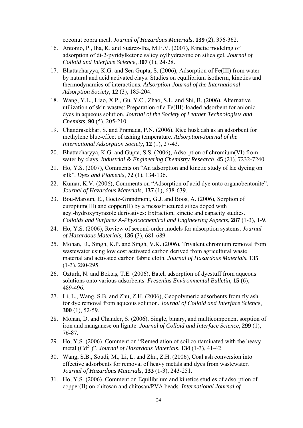coconut copra meal. *Journal of Hazardous Materials*, **139** (2), 356-362.

- 16. Antonio, P., Iha, K. and Suárez-Iha, M.E.V. (2007), Kinetic modeling of adsorption of di-2-pyridylketone salicyloylhydrazone on silica gel. *Journal of Colloid and Interface Science*, **307** (1), 24-28.
- 17. Bhattacharyya, K.G. and Sen Gupta, S. (2006), Adsorption of Fe(III) from water by natural and acid activated clays: Studies on equilibrium isotherm, kinetics and thermodynamics of interactions. *Adsorption-Journal of the International Adsorption Society*, **12** (3), 185-204.
- 18. Wang, Y.L., Liao, X.P., Gu, Y.C., Zhao, S.L. and Shi, B. (2006), Alternative utilization of skin wastes: Preparation of a Fe(III)-loaded adsorbent for anionic dyes in aqueous solution. *Journal of the Society of Leather Technologists and Chemists*, **90** (5), 205-210.
- 19. Chandrasekhar, S. and Pramada, P.N. (2006), Rice husk ash as an adsorbent for methylene blue-effect of ashing temperature. *Adsorption-Journal of the International Adsorption Society*, **12** (1), 27-43.
- 20. Bhattacharyya, K.G. and Gupta, S.S. (2006), Adsorption of chromium(VI) from water by clays. *Industrial & Engineering Chemistry Research*, **45** (21), 7232-7240.
- 21. Ho, Y.S. (2007), Comments on "An adsorption and kinetic study of lac dyeing on silk". *Dyes and Pigments*, **72** (1), 134-136.
- 22. Kumar, K.V. (2006), Comments on "Adsorption of acid dye onto organobentonite". *Journal of Hazardous Materials*, **137** (1), 638-639.
- 23. Bou-Maroun, E., Goetz-Grandmont, G.J. and Boos, A. (2006), Sorption of europium(III) and copper(II) by a mesostructured silica doped with acyl-hydroxypyrazole derivatives: Extraction, kinetic and capacity studies. *Colloids and Surfaces A-Physicochemical and Engineering Aspects*, **287** (1-3), 1-9.
- 24. Ho, Y.S. (2006), Review of second-order models for adsorption systems. *Journal of Hazardous Materials*, **136** (3), 681-689.
- 25. Mohan, D., Singh, K.P. and Singh, V.K. (2006), Trivalent chromium removal from wastewater using low cost activated carbon derived from agricultural waste material and activated carbon fabric cloth. *Journal of Hazardous Materials*, **135** (1-3), 280-295.
- 26. Ozturk, N. and Bektaş, T.E. (2006), Batch adsorption of dyestuff from aqueous solutions onto various adsorbents. *Fresenius Environmental Bulletin*, **15** (6), 489-496.
- 27. Li, L., Wang, S.B. and Zhu, Z.H. (2006), Geopolymeric adsorbents from fly ash for dye removal from aqueous solution. *Journal of Colloid and Interface Science*, **300** (1), 52-59.
- 28. Mohan, D. and Chander, S. (2006), Single, binary, and multicomponent sorption of iron and manganese on lignite. *Journal of Colloid and Interface Science*, **299** (1), 76-87.
- 29. Ho, Y.S. (2006), Comment on "Remediation of soil contaminated with the heavy metal  $(Cd^{2+})$ ". *Journal of Hazardous Materials*, **134** (1-3), 41-42.
- 30. Wang, S.B., Soudi, M., Li, L. and Zhu, Z.H. (2006), Coal ash conversion into effective adsorbents for removal of heavy metals and dyes from wastewater. *Journal of Hazardous Materials*, **133** (1-3), 243-251.
- 31. Ho, Y.S. (2006), Comment on Equilibrium and kinetics studies of adsorption of copper(II) on chitosan and chitosan/PVA beads. *International Journal of*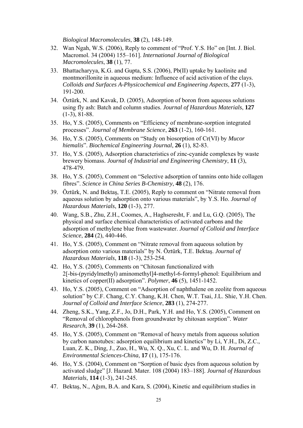*Biological Macromolecules*, **38** (2), 148-149.

- 32. Wan Ngah, W.S. (2006), Reply to comment of "Prof. Y.S. Ho" on [Int. J. Biol. Macromol. 34 (2004) 155–161]. *International Journal of Biological Macromolecules*, **38** (1), 77.
- 33. Bhattacharyya, K.G. and Gupta, S.S. (2006), Pb(II) uptake by kaolinite and montmorillonite in aqueous medium: Influence of acid activation of the clays. *Colloids and Surfaces A-Physicochemical and Engineering Aspects*, **277** (1-3), 191-200.
- 34. Öztürk, N. and Kavak, D. (2005), Adsorption of boron from aqueous solutions using fly ash: Batch and column studies. *Journal of Hazardous Materials*, **127** (1-3), 81-88.
- 35. Ho, Y.S. (2005), Comments on "Efficiency of membrane-sorption integrated processes". *Journal of Membrane Science*, **263** (1-2), 160-161.
- 36. Ho, Y.S. (2005), Comments on "Study on biosorption of Cr(VI) by *Mucor hiemalis*". *Biochemical Engineering Journal*, **26** (1), 82-83.
- 37. Ho, Y.S. (2005), Adsorption characteristics of zinc-cyanide complexes by waste brewery biomass. *Journal of Industrial and Engineering Chemistry*, **11** (3), 478-479.
- 38. Ho, Y.S. (2005), Comment on "Selective adsorption of tannins onto hide collagen fibres". *Science in China Series B-Chemistry*, **48** (2), 176.
- 39. Öztürk, N. and Bektaş, T.E. (2005), Reply to comment on "Nitrate removal from aqueous solution by adsorption onto various materials", by Y.S. Ho. *Journal of Hazardous Materials*, **120** (1-3), 277.
- 40. Wang, S.B., Zhu, Z.H., Coomes, A., Haghseresht, F. and Lu, G.Q. (2005), The physical and surface chemical characteristics of activated carbons and the adsorption of methylene blue from wastewater. *Journal of Colloid and Interface Science*, **284** (2), 440-446.
- 41. Ho, Y.S. (2005), Comment on "Nitrate removal from aqueous solution by adsorption onto various materials" by N. Öztürk, T.E. Bektaş. *Journal of Hazardous Materials*, **118** (1-3), 253-254.
- 42. Ho, Y.S. (2005), Comments on "Chitosan functionalized with 2[-bis-(pyridylmethyl) aminomethyl]4-methyl-6-formyl-phenol: Equilibrium and kinetics of copper(II) adsorption". *Polymer*, **46** (5), 1451-1452.
- 43. Ho, Y.S. (2005), Comment on "Adsorption of naphthalene on zeolite from aqueous solution" by C.F. Chang, C.Y. Chang, K.H. Chen, W.T. Tsai, J.L. Shie, Y.H. Chen. *Journal of Colloid and Interface Science*, **283** (1), 274-277.
- 44. Zheng, S.K., Yang, Z.F., Jo, D.H., Park, Y.H. and Ho, Y.S. (2005), Comment on "Removal of chlorophenols from groundwater by chitosan sorption". *Water Research*, **39** (1), 264-268.
- 45. Ho, Y.S. (2005), Comment on "Removal of heavy metals from aqueous solution by carbon nanotubes: adsorption equilibrium and kinetics" by Li, Y.H., Di, Z.C., Luan, Z. K., Ding, J., Zuo, H., Wu, X. Q., Xu, C. L. and Wu, D. H. *Journal of Environmental Sciences-China*, **17** (1), 175-176.
- 46. Ho, Y.S. (2004), Comment on "Sorption of basic dyes from aqueous solution by activated sludge" [J. Hazard. Mater. 108 (2004) 183–188]. *Journal of Hazardous Materials*, **114** (1-3), 241-245.
- 47. Bektaş, N., Ağım, B.A. and Kara, S. (2004), Kinetic and equilibrium studies in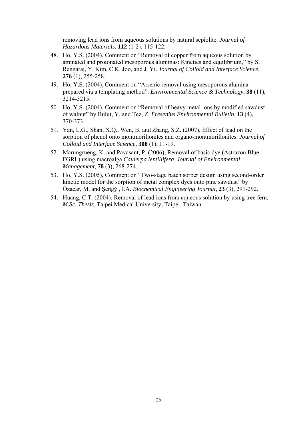removing lead ions from aqueous solutions by natural sepiolite. *Journal of Hazardous Materials*, **112** (1-2), 115-122.

- 48. Ho, Y.S. (2004), Comment on "Removal of copper from aqueous solution by aminated and protonated mesoporous aluminas: Kinetics and equilibrium," by S. Rengaraj, Y. Kim, C.K. Joo, and J. Yi. *Journal of Colloid and Interface Science*, **276** (1), 255-258.
- 49. Ho, Y.S. (2004), Comment on "Arsenic removal using mesoporous alumina prepared via a templating method". *Environmental Science & Technology*, **38** (11), 3214-3215.
- 50. Ho, Y.S. (2004), Comment on "Removal of heavy metal ions by modified sawdust of walnut" by Bulut, Y. and Tez, Z. *Fresenius Environmental Bulletin*, **13** (4), 370-373.
- 51. Yan, L.G., Shan, X.Q., Wen, B. and Zhang, S.Z. (2007), Effect of lead on the sorption of phenol onto montmorillonites and organo-montmorillonites. *Journal of Colloid and Interface Science*, **308** (1), 11-19.
- 52. Marungrueng, K. and Pavasant, P. (2006), Removal of basic dye (Astrazon Blue FGRL) using macroalga *Caulerpa lentillifera*. *Journal of Environmental Management*, **78** (3), 268-274.
- 53. Ho, Y.S. (2005), Comment on "Two-stage batch sorber design using second-order kinetic model for the sorption of metal complex dyes onto pine sawdust" by Özacar, M. and Şengýl, İ.A. *Biochemical Engineering Journal*, **23** (3), 291-292.
- 54. Huang, C.T. (2004), Removal of lead ions from aqueous solution by using tree fern. *M.Sc. Thesis*, Taipei Medical University, Taipei, Taiwan.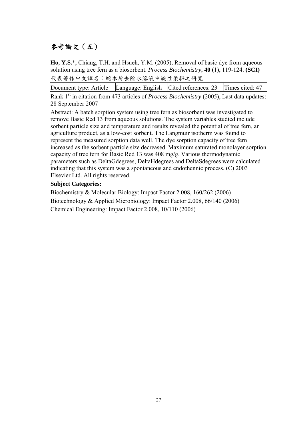### 參考論文(五)

**Ho, Y.S.**\*, Chiang, T.H. and Hsueh, Y.M. (2005), Removal of basic dye from aqueous solution using tree fern as a biosorbent. *Process Biochemistry*, **40** (1), 119-124. **(SCI)** 代表著作中文譯名:蛇木屑去除水溶液中鹼性染料之研究

Document type: Article Language: English Cited references: 23 Times cited: 47

Rank 1<sup>st</sup> in citation from 473 articles of *Process Biochemistry* (2005), Last data updates: 28 September 2007

Abstract: A batch sorption system using tree fern as biosorbent was investigated to remove Basic Red 13 from aqueous solutions. The system variables studied include sorbent particle size and temperature and results revealed the potential of tree fern, an agriculture product, as a low-cost sorbent. The Langmuir isotherm was found to represent the measured sorption data well. The dye sorption capacity of tree fern increased as the sorbent particle size decreased. Maximum saturated monolayer sorption capacity of tree fern for Basic Red 13 was 408 mg/g. Various thermodynamic parameters such as DeltaGdegrees, DeltaHdegrees and DeltaSdegrees were calculated indicating that this system was a spontaneous and endothennic process. (C) 2003 Elsevier Ltd. All rights reserved.

### **Subject Categories:**

Biochemistry & Molecular Biology: Impact Factor 2.008, 160/262 (2006) Biotechnology & Applied Microbiology: Impact Factor 2.008, 66/140 (2006) Chemical Engineering: Impact Factor 2.008, 10/110 (2006)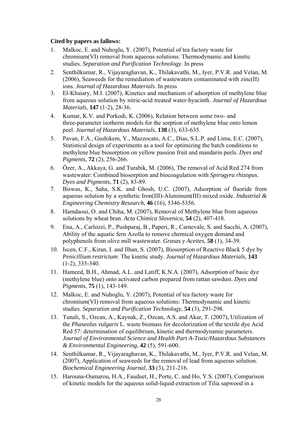- 1. Malkoc, E. and Nuhoglu, Y. (2007), Potential of tea factory waste for chromium(VI) removal from aqueous solutions: Thermodynamic and kinetic studies. *Separation and Purification Technology*. In press
- 2. Senthilkumar, R., Vijayaraghavan, K., Thilakavathi, M., Iyer, P.V.R. and Velan, M. (2006), Seaweeds for the remediation of wastewaters contaminated with zinc(II) ions. *Journal of Hazardous Materials*. In press
- 3. El-Khaiary, M.I. (2007), Kinetics and mechanism of adsorption of methylene blue from aqueous solution by nitric-acid treated water-hyacinth. *Journal of Hazardous Materials*, **147** (1-2), 28-36.
- 4. Kumar, K.V. and Porkodi, K. (2006), Relation between some two- and three-parameter isotherm models for the sorption of methylene blue onto lemon peel. *Journal of Hazardous Materials*, **138** (3), 633-635.
- 5. Pavan, F.A., Gushikem, Y., Mazzocato, A.C., Dias, S.L.P. and Lima, E.C. (2007), Statistical design of experiments as a tool for optimizing the batch conditions to methylene blue biosorption on yellow passion fruit and mandarin peels. *Dyes and Pigments*, **72** (2), 256-266.
- 6. Özer, A., Akkaya, G. and Turabik, M. (2006), The removal of Acid Red 274 from wastewater: Combined biosorption and biocoagulation with *Spirogyra rhizopus*. *Dyes and Pigments*, **71** (2), 83-89.
- 7. Biswas, K., Saha, S.K. and Ghosh, U.C. (2007), Adsorption of fluoride from aqueous solution by a synthetic Iron(III)-Aluminum(III) mixed oxide. *Industrial & Engineering Chemistry Research*, **46** (16), 5346-5356.
- 8. Hamdaoui, O. and Chiha, M. (2007), Removal of Methylene blue from aqueous solutions by wheat bran. *Acta Chimica Slovenica*, **54** (2), 407-418.
- 9. Ena, A., Carlozzi, P., Pushparaj, B., Paperi, R., Carnevale, S. and Sacchi, A. (2007), Ability of the aquatic fern Azolla to remove chemical oxygen demand and polyphenols from olive mill wastewater. *Grasas y Aceites*, **58** (1), 34-39.
- 10. Iscen, C.F., Kiran, I. and Ilhan, S. (2007), Biosorption of Reactive Black 5 dye by *Penicillium restrictum*: The kinetic study. *Journal of Hazardous Materials*, **143** (1-2), 335-340.
- 11. Hameed, B.H., Ahmad, A.L. and Latiff, K.N.A. (2007), Adsorption of basic dye (methylene blue) onto activated carbon prepared from rattan sawdust. *Dyes and Pigments*, **75** (1), 143-149.
- 12. Malkoc, E. and Nuhoglu, Y. (2007), Potential of tea factory waste for chromium(VI) removal from aqueous solutions: Thermodynamic and kinetic studies. *Separation and Purification Technology*, **54** (3), 291-298.
- 13. Tunali, S., Ozcan, A., Kaynak, Z., Ozcan, A.S. and Akar, T. (2007), Utilization of the *Phaseolus vulgaris* L. waste biomass for decolorization of the textile dye Acid Red 57: determination of equilibrium, kinetic and thermodynamic parameters. *Journal of Environmental Science and Health Part A-Toxic/Hazardous Substances & Environmental Engineering*, **42** (5), 591-600.
- 14. Senthilkumar, R., Vijayaraghavan, K., Thilakavathi, M., Iyer, P.V.R. and Velan, M. (2007), Application of seaweeds for the removal of lead from aqueous solution. *Biochemical Engineering Journal*, **33** (3), 211-216.
- 15. Harouna-Oumarou, H.A., Fauduet, H., Porte, C. and Ho, Y.S. (2007), Comparison of kinetic models for the aqueous solid-liquid extraction of Tilia sapwood in a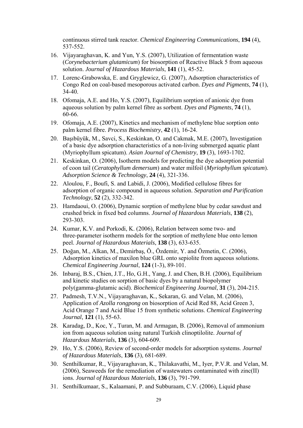continuous stirred tank reactor. *Chemical Engineering Communications*, **194** (4), 537-552.

- 16. Vijayaraghavan, K. and Yun, Y.S. (2007), Utilization of fermentation waste (*Corynebacterium glutamicum*) for biosorption of Reactive Black 5 from aqueous solution. *Journal of Hazardous Materials*, **141** (1), 45-52.
- 17. Lorenc-Grabowska, E. and Gryglewicz, G. (2007), Adsorption characteristics of Congo Red on coal-based mesoporous activated carbon. *Dyes and Pigments*, **74** (1), 34-40.
- 18. Ofomaja, A.E. and Ho, Y.S. (2007), Equilibrium sorption of anionic dye from aqueous solution by palm kernel fibre as sorbent. *Dyes and Pigments*, **74** (1), 60-66.
- 19. Ofomaja, A.E. (2007), Kinetics and mechanism of methylene blue sorption onto palm kernel fibre. *Process Biochemistry*, **42** (1), 16-24.
- 20. Başıbüyük, M., Savci, S., Keskinkan, O. and Cakmak, M.E. (2007), Investigation of a basic dye adsorption characteristics of a non-living submerged aquatic plant (Myriophyllum spicatum). *Asian Journal of Chemistry*, **19** (3), 1693-1702.
- 21. Keskinkan, O. (2006), Isotherm models for predicting the dye adsorption potential of coon tail (*Ceratophyllum demersum*) and water milfoil (*Myriophyllum spicatum*). *Adsorption Science & Technology*, **24** (4), 321-336.
- 22. Aloulou, F., Boufi, S. and Labidi, J. (2006), Modified cellulose fibres for adsorption of organic compound in aqueous solution. *Separation and Purification Technology*, **52** (2), 332-342.
- 23. Hamdaoui, O. (2006), Dynamic sorption of methylene blue by cedar sawdust and crushed brick in fixed bed columns. *Journal of Hazardous Materials*, **138** (2), 293-303.
- 24. Kumar, K.V. and Porkodi, K. (2006), Relation between some two- and three-parameter isotherm models for the sorption of methylene blue onto lemon peel. *Journal of Hazardous Materials*, **138** (3), 633-635.
- 25. Doğan, M., Alkan, M., Demirbaş, Ö., Özdemir, Y. and Özmetin, C. (2006), Adsorption kinetics of maxilon blue GRL onto sepiolite from aqueous solutions. *Chemical Engineering Journal*, **124** (1-3), 89-101.
- 26. Inbaraj, B.S., Chien, J.T., Ho, G.H., Yang, J. and Chen, B.H. (2006), Equilibrium and kinetic studies on sorption of basic dyes by a natural biopolymer poly(gamma-glutamic acid). *Biochemical Engineering Journal*, **31** (3), 204-215.
- 27. Padmesh, T.V.N., Vijayaraghavan, K., Sekaran, G. and Velan, M. (2006), Application of *Azolla rongpong* on biosorption of Acid Red 88, Acid Green 3, Acid Orange 7 and Acid Blue 15 from synthetic solutions. *Chemical Engineering Journal*, **121** (1), 55-63.
- 28. Karadag, D., Koc, Y., Turan, M. and Armagan, B. (2006), Removal of ammonium ion from aqueous solution using natural Turkish clinoptilolite. *Journal of Hazardous Materials*, **136** (3), 604-609.
- 29. Ho, Y.S. (2006), Review of second-order models for adsorption systems. *Journal of Hazardous Materials*, **136** (3), 681-689.
- 30. Senthilkumar, R., Vijayaraghavan, K., Thilakavathi, M., Iyer, P.V.R. and Velan, M. (2006), Seaweeds for the remediation of wastewaters contaminated with zinc(II) ions. *Journal of Hazardous Materials*, **136** (3), 791-799.
- 31. Senthilkumaar, S., Kalaamani, P. and Subburaam, C.V. (2006), Liquid phase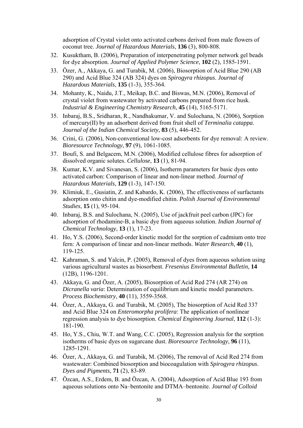adsorption of Crystal violet onto activated carbons derived from male flowers of coconut tree. *Journal of Hazardous Materials*, **136** (3), 800-808.

- 32. Kusuktham, B. (2006), Preparation of interpenetrating polymer network gel beads for dye absorption. *Journal of Applied Polymer Science*, **102** (2), 1585-1591.
- 33. Özer, A., Akkaya, G. and Turabik, M. (2006), Biosorption of Acid Blue 290 (AB 290) and Acid Blue 324 (AB 324) dyes on *Spirogyra rhizopus*. *Journal of Hazardous Materials*, **135** (1-3), 355-364.
- 34. Mohanty, K., Naidu, J.T., Meikap, B.C. and Biswas, M.N. (2006), Removal of crystal violet from wastewater by activated carbons prepared from rice husk. *Industrial & Engineering Chemistry Research*, **45** (14), 5165-5171.
- 35. Inbaraj, B.S., Sridharan, R., Nandhakumar, V. and Sulochana, N. (2006), Sorption of mercury(II) by an adsorbent derived from fruit shell of *Terminalia catappa*. *Journal of the Indian Chemical Society*, **83** (5), 446-452.
- 36. Crini, G. (2006), Non-conventional low-cost adsorbents for dye removal: A review. *Bioresource Technology*, **97** (9), 1061-1085.
- 37. Boufi, S. and Belgacem, M.N. (2006), Modified cellulose fibres for adsorption of dissolved organic solutes. *Cellulose*, **13** (1), 81-94.
- 38. Kumar, K.V. and Sivanesan, S. (2006), Isotherm parameters for basic dyes onto activated carbon: Comparison of linear and non-linear method. *Journal of Hazardous Materials*, **129** (1-3), 147-150.
- 39. Klimiuk, E., Gusiatin, Z. and Kabardo, K. (2006), The effectiveness of surfactants adsorption onto chitin and dye-modified chitin. *Polish Journal of Environmental Studies*, **15** (1), 95-104.
- 40. Inbaraj, B.S. and Sulochana, N. (2005), Use of jackfruit peel carbon (JPC) for adsorption of rhodamine-B, a basic dye from aqueous solution. *Indian Journal of Chemical Technology*, **13** (1), 17-23.
- 41. Ho, Y.S. (2006), Second-order kinetic model for the sorption of cadmium onto tree fern: A comparison of linear and non-linear methods. *Water Research*, **40** (1), 119-125.
- 42. Kahraman, S. and Yalcin, P. (2005), Removal of dyes from aqueous solution using various agricultural wastes as biosorbent. *Fresenius Environmental Bulletin*, **14** (12B), 1196-1201.
- 43. Akkaya, G. and Özer, A. (2005), Biosorption of Acid Red 274 (AR 274) on *Dicranella varia*: Determination of equilibrium and kinetic model parameters. *Process Biochemistry*, **40** (11), 3559-3568.
- 44. Özer, A., Akkaya, G. and Turabik, M. (2005), The biosorption of Acid Red 337 and Acid Blue 324 on *Enteromorpha prolifera*: The application of nonlinear regression analysis to dye biosorption. *Chemical Engineering Journal*, **112** (1-3): 181-190.
- 45. Ho, Y.S., Chiu, W.T. and Wang, C.C. (2005), Regression analysis for the sorption isotherms of basic dyes on sugarcane dust. *Bioresource Technology*, **96** (11), 1285-1291.
- 46. Özer, A., Akkaya, G. and Turabik, M. (2006), The removal of Acid Red 274 from wastewater: Combined biosorption and biocoagulation with *Spirogyra rhizopus*. *Dyes and Pigments*, **71** (2), 83-89.
- 47. Özcan, A.S., Erdem, B. and Özcan, A. (2004), Adsorption of Acid Blue 193 from aqueous solutions onto Na–bentonite and DTMA–bentonite. *Journal of Colloid*